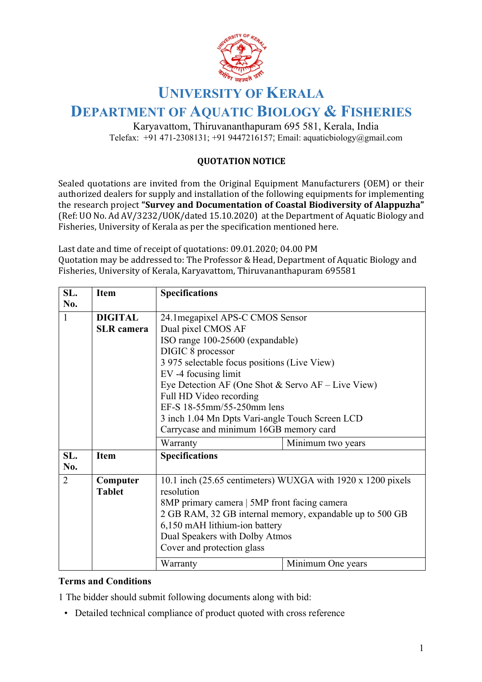

## **UNIVERSITY OF KERALA**

## **DEPARTMENT OF AQUATIC BIOLOGY & FISHERIES**

Karyavattom, Thiruvananthapuram 695 581, Kerala, India Telefax:  $+91471-2308131$ ;  $+919447216157$ ; Email: aquaticbiology@gmail.com

## **QUOTATION NOTICE**

Sealed quotations are invited from the Original Equipment Manufacturers (OEM) or their authorized dealers for supply and installation of the following equipments for implementing the research project "Survey and Documentation of Coastal Biodiversity of Alappuzha" (Ref: UO No. Ad AV/3232/UOK/dated 15.10.2020) at the Department of Aquatic Biology and Fisheries, University of Kerala as per the specification mentioned here.

Last date and time of receipt of quotations: 09.01.2020; 04.00 PM Quotation may be addressed to: The Professor & Head, Department of Aquatic Biology and Fisheries, University of Kerala, Karyavattom, Thiruvananthapuram 695581

| SL.            | <b>Item</b>       | <b>Specifications</b>                                                                                                     |                   |  |
|----------------|-------------------|---------------------------------------------------------------------------------------------------------------------------|-------------------|--|
| No.            |                   |                                                                                                                           |                   |  |
| $\mathbf{1}$   | <b>DIGITAL</b>    | 24.1 megapixel APS-C CMOS Sensor                                                                                          |                   |  |
|                | <b>SLR</b> camera | Dual pixel CMOS AF                                                                                                        |                   |  |
|                |                   | ISO range 100-25600 (expandable)                                                                                          |                   |  |
|                |                   | DIGIC 8 processor                                                                                                         |                   |  |
|                |                   | 3 975 selectable focus positions (Live View)                                                                              |                   |  |
|                |                   | EV -4 focusing limit                                                                                                      |                   |  |
|                |                   | Eye Detection AF (One Shot & Servo AF - Live View)                                                                        |                   |  |
|                |                   | Full HD Video recording                                                                                                   |                   |  |
|                |                   | EF-S 18-55mm/55-250mm lens                                                                                                |                   |  |
|                |                   | 3 inch 1.04 Mn Dpts Vari-angle Touch Screen LCD                                                                           |                   |  |
|                |                   | Carrycase and minimum 16GB memory card                                                                                    |                   |  |
|                |                   | Warranty                                                                                                                  | Minimum two years |  |
| SL.<br>No.     | <b>Item</b>       | <b>Specifications</b>                                                                                                     |                   |  |
| $\overline{2}$ | Computer          | 10.1 inch (25.65 centimeters) WUXGA with 1920 x 1200 pixels<br>resolution<br>8MP primary camera   5MP front facing camera |                   |  |
|                | <b>Tablet</b>     |                                                                                                                           |                   |  |
|                |                   |                                                                                                                           |                   |  |
|                |                   | 2 GB RAM, 32 GB internal memory, expandable up to 500 GB                                                                  |                   |  |
|                |                   | 6,150 mAH lithium-ion battery                                                                                             |                   |  |
|                |                   | Dual Speakers with Dolby Atmos                                                                                            |                   |  |
|                |                   | Cover and protection glass                                                                                                |                   |  |
|                |                   | Warranty                                                                                                                  | Minimum One years |  |

## **Terms and Conditions**

1 The bidder should submit following documents along with bid:

• Detailed technical compliance of product quoted with cross reference